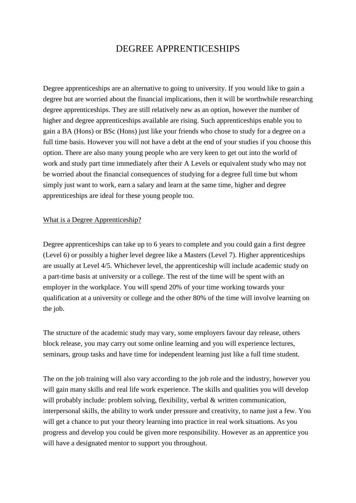# DEGREE APPRENTICESHIPS

Degree apprenticeships are an alternative to going to university. If you would like to gain a degree but are worried about the financial implications, then it will be worthwhile researching degree apprenticeships. They are still relatively new as an option, however the number of higher and degree apprenticeships available are rising. Such apprenticeships enable you to gain a BA (Hons) or BSc (Hons) just like your friends who chose to study for a degree on a full time basis. However you will not have a debt at the end of your studies if you choose this option. There are also many young people who are very keen to get out into the world of work and study part time immediately after their A Levels or equivalent study who may not be worried about the financial consequences of studying for a degree full time but whom simply just want to work, earn a salary and learn at the same time, higher and degree apprenticeships are ideal for these young people too.

#### What is a Degree Apprenticeship?

Degree apprenticeships can take up to 6 years to complete and you could gain a first degree (Level 6) or possibly a higher level degree like a Masters (Level 7). Higher apprenticeships are usually at Level 4/5. Whichever level, the apprenticeship will include academic study on a part-time basis at university or a college. The rest of the time will be spent with an employer in the workplace. You will spend 20% of your time working towards your qualification at a university or college and the other 80% of the time will involve learning on the job.

The structure of the academic study may vary, some employers favour day release, others block release, you may carry out some online learning and you will experience lectures, seminars, group tasks and have time for independent learning just like a full time student.

The on the job training will also vary according to the job role and the industry, however you will gain many skills and real life work experience. The skills and qualities you will develop will probably include: problem solving, flexibility, verbal & written communication, interpersonal skills, the ability to work under pressure and creativity, to name just a few. You will get a chance to put your theory learning into practice in real work situations. As you progress and develop you could be given more responsibility. However as an apprentice you will have a designated mentor to support you throughout.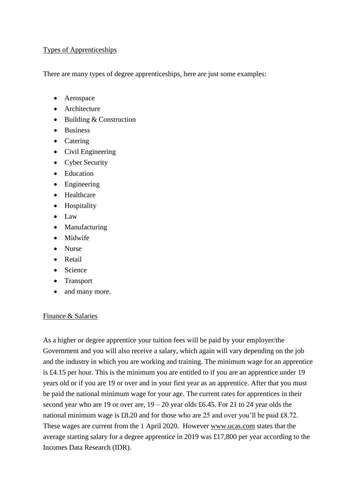### Types of Apprenticeships

There are many types of degree apprenticeships, here are just some examples:

- Aerospace
- Architecture
- $\bullet$  Building & Construction
- Business
- Catering
- Civil Engineering
- Cyber Security
- Education
- Engineering
- Healthcare
- Hospitality
- Law
- Manufacturing
- Midwife
- Nurse
- **•** Retail
- Science
- Transport
- and many more.

#### Finance & Salaries

As a higher or degree apprentice your tuition fees will be paid by your employer/the Government and you will also receive a salary, which again will vary depending on the job and the industry in which you are working and training. The minimum wage for an apprentice is £4.15 per hour. This is the minimum you are entitled to if you are an apprentice under 19 years old or if you are 19 or over and in your first year as an apprentice. After that you must be paid the national minimum wage for your age. The current rates for apprentices in their second year who are 19 or over are,  $19 - 20$  year olds £6.45. For 21 to 24 year olds the national minimum wage is £8.20 and for those who are 25 and over you'll be paid £8.72. These wages are current from the 1 April 2020. However [www.ucas.com](http://www.ucas.com/) states that the average starting salary for a degree apprentice in 2019 was £17,800 per year according to the Incomes Data Research (IDR).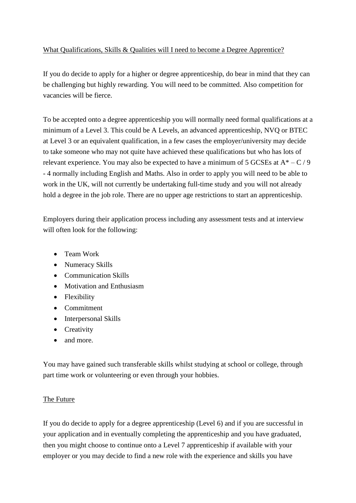## What Qualifications, Skills & Qualities will I need to become a Degree Apprentice?

If you do decide to apply for a higher or degree apprenticeship, do bear in mind that they can be challenging but highly rewarding. You will need to be committed. Also competition for vacancies will be fierce.

To be accepted onto a degree apprenticeship you will normally need formal qualifications at a minimum of a Level 3. This could be A Levels, an advanced apprenticeship, NVQ or BTEC at Level 3 or an equivalent qualification, in a few cases the employer/university may decide to take someone who may not quite have achieved these qualifications but who has lots of relevant experience. You may also be expected to have a minimum of 5 GCSEs at  $A^* - C$  / 9 - 4 normally including English and Maths. Also in order to apply you will need to be able to work in the UK, will not currently be undertaking full-time study and you will not already hold a degree in the job role. There are no upper age restrictions to start an apprenticeship.

Employers during their application process including any assessment tests and at interview will often look for the following:

- Team Work
- Numeracy Skills
- Communication Skills
- Motivation and Enthusiasm
- Flexibility
- Commitment
- Interpersonal Skills
- Creativity
- and more.

You may have gained such transferable skills whilst studying at school or college, through part time work or volunteering or even through your hobbies.

# The Future

If you do decide to apply for a degree apprenticeship (Level 6) and if you are successful in your application and in eventually completing the apprenticeship and you have graduated, then you might choose to continue onto a Level 7 apprenticeship if available with your employer or you may decide to find a new role with the experience and skills you have